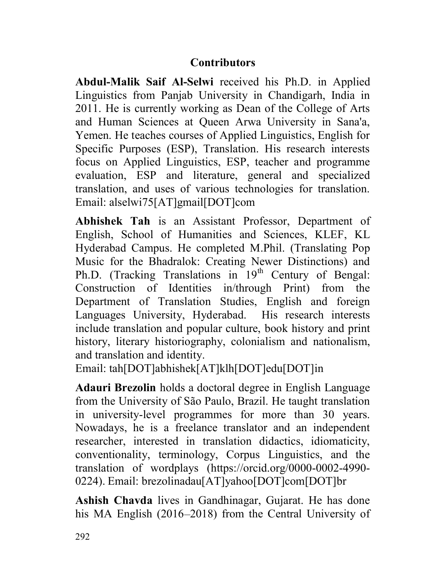## **Contributors**

Abdul-Malik Saif Al-Selwi received his Ph.D. in Applied Linguistics from Panjab University in Chandigarh, India in 2011. He is currently working as Dean of the College of Arts and Human Sciences at Queen Arwa University in Sana'a, Yemen. He teaches courses of Applied Linguistics, English for Specific Purposes (ESP), Translation. His research interests focus on Applied Linguistics, ESP, teacher and programme evaluation, ESP and literature, general and specialized translation, and uses of various technologies for translation. Email: alselwi75[AT]gmail[DOT]com

Abhishek Tah is an Assistant Professor, Department of English, School of Humanities and Sciences, KLEF, KL Hyderabad Campus. He completed M.Phil. (Translating Pop Music for the Bhadralok: Creating Newer Distinctions) and Ph.D. (Tracking Translations in 19<sup>th</sup> Century of Bengal: Construction of Identities in/through Print) from the Department of Translation Studies, English and foreign Languages University, Hyderabad. His research interests include translation and popular culture, book history and print history, literary historiography, colonialism and nationalism, and translation and identity.

Email: tah[DOT]abhishek[AT]klh[DOT]edu[DOT]in

Adauri Brezolin holds a doctoral degree in English Language from the University of São Paulo, Brazil. He taught translation in university-level programmes for more than 30 years. Nowadays, he is a freelance translator and an independent researcher, interested in translation didactics, idiomaticity, conventionality, terminology, Corpus Linguistics, and the translation of wordplays (https://orcid.org/0000-0002-4990- 0224). Email: brezolinadau[AT]yahoo[DOT]com[DOT]br

Ashish Chavda lives in Gandhinagar, Gujarat. He has done his MA English (2016–2018) from the Central University of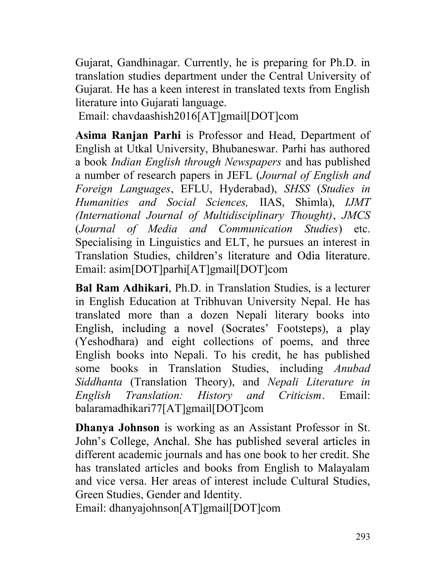Gujarat, Gandhinagar. Currently, he is preparing for Ph.D. in translation studies department under the Central University of Gujarat. He has a keen interest in translated texts from English literature into Gujarati language.

Email: chavdaashish2016[AT]gmail[DOT]com

Asima Ranjan Parhi is Professor and Head, Department of English at Utkal University, Bhubaneswar. Parhi has authored a book Indian English through Newspapers and has published a number of research papers in JEFL (Journal of English and Foreign Languages, EFLU, Hyderabad), SHSS (Studies in Humanities and Social Sciences, IIAS, Shimla), IJMT (International Journal of Multidisciplinary Thought), JMCS (Journal of Media and Communication Studies) etc. Specialising in Linguistics and ELT, he pursues an interest in Translation Studies, children's literature and Odia literature. Email: asim[DOT]parhi[AT]gmail[DOT]com

Bal Ram Adhikari, Ph.D. in Translation Studies, is a lecturer in English Education at Tribhuvan University Nepal. He has translated more than a dozen Nepali literary books into English, including a novel (Socrates' Footsteps), a play (Yeshodhara) and eight collections of poems, and three English books into Nepali. To his credit, he has published some books in Translation Studies, including Anubad Siddhanta (Translation Theory), and Nepali Literature in English Translation: History and Criticism. Email: balaramadhikari77[AT]gmail[DOT]com

Dhanya Johnson is working as an Assistant Professor in St. John's College, Anchal. She has published several articles in different academic journals and has one book to her credit. She has translated articles and books from English to Malayalam and vice versa. Her areas of interest include Cultural Studies, Green Studies, Gender and Identity.

Email: dhanyajohnson[AT]gmail[DOT]com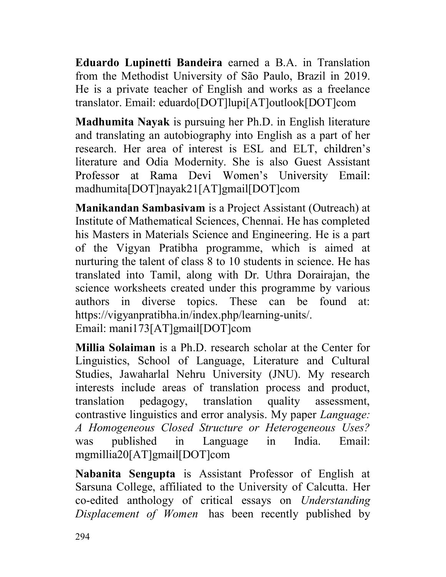Eduardo Lupinetti Bandeira earned a B.A. in Translation from the Methodist University of São Paulo, Brazil in 2019. He is a private teacher of English and works as a freelance translator. Email: eduardo[DOT]lupi[AT]outlook[DOT]com

Madhumita Nayak is pursuing her Ph.D. in English literature and translating an autobiography into English as a part of her research. Her area of interest is ESL and ELT, literature and Odia Modernity. She is also Guest Assistant Professor at Rama Devi Women's University Email: madhumita[DOT]nayak21[AT]gmail[DOT]com

Manikandan Sambasivam is a Project Assistant (Outreach) at Institute of Mathematical Sciences, Chennai. He has completed his Masters in Materials Science and Engineering. He is a part of the Vigyan Pratibha programme, which is aimed at nurturing the talent of class 8 to 10 students in science. He has translated into Tamil, along with Dr. Uthra Dorairajan, the science worksheets created under this programme by various authors in diverse topics. These can be found at: https://vigyanpratibha.in/index.php/learning-units/. Email: mani173[AT]gmail[DOT]com

Millia Solaiman is a Ph.D. research scholar at the Center for Linguistics, School of Language, Literature and Cultural Studies, Jawaharlal Nehru University (JNU). My research interests include areas of translation process and product, translation pedagogy, translation quality assessment, contrastive linguistics and error analysis. My paper Language: A Homogeneous Closed Structure or Heterogeneous Uses? was published in Language in India. Email: mgmillia20[AT]gmail[DOT]com

Nabanita Sengupta is Assistant Professor of English at Sarsuna College, affiliated to the University of Calcutta. Her co-edited anthology of critical essays on Understanding Displacement of Women has been recently published by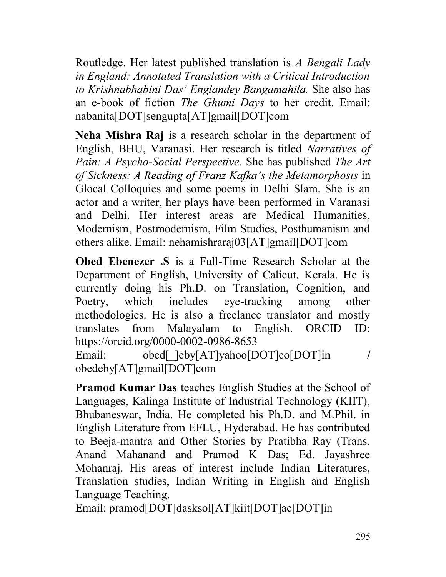Routledge. Her latest published translation is A Bengali Lady in England: Annotated Translation with a Critical Introduction to Krishnabhabini Das' Englandey Bangamahila. She also has an e-book of fiction The Ghumi Days to her credit. Email: nabanita[DOT]sengupta[AT]gmail[DOT]com

Neha Mishra Raj is a research scholar in the department of English, BHU, Varanasi. Her research is titled Narratives of Pain: A Psycho-Social Perspective. She has published The Art of Sickness: A Reading of Franz Kafka's the Metamorphosis in Glocal Colloquies and some poems in Delhi Slam. She is an actor and a writer, her plays have been performed in Varanasi and Delhi. Her interest areas are Medical Humanities, Modernism, Postmodernism, Film Studies, Posthumanism and others alike. Email: nehamishraraj03[AT]gmail[DOT]com

Obed Ebenezer .S is a Full-Time Research Scholar at the Department of English, University of Calicut, Kerala. He is currently doing his Ph.D. on Translation, Cognition, and Poetry, which includes eye-tracking among other methodologies. He is also a freelance translator and mostly translates from Malayalam to English. ORCID ID: https://orcid.org/0000-0002-0986-8653 Email: obed[ ]eby[AT]yahoo[DOT]co[DOT]in /

obedeby[AT]gmail[DOT]com

Pramod Kumar Das teaches English Studies at the School of Languages, Kalinga Institute of Industrial Technology (KIIT), Bhubaneswar, India. He completed his Ph.D. and M.Phil. in English Literature from EFLU, Hyderabad. He has contributed to Beeja-mantra and Other Stories by Pratibha Ray (Trans. Anand Mahanand and Pramod K Das; Ed. Jayashree Mohanraj. His areas of interest include Indian Literatures, Translation studies, Indian Writing in English and English Language Teaching.

Email: pramod[DOT]dasksol[AT]kiit[DOT]ac[DOT]in